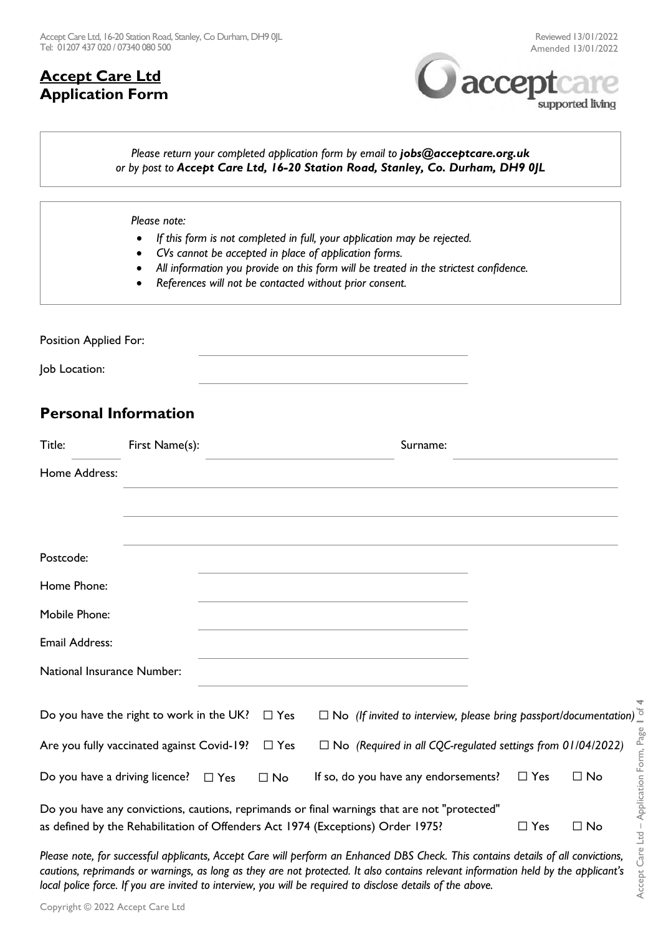## **Accept Care Ltd Application Form**





### *Please return your completed application form by email to <i>jobs@acceptcare.org.uk or by post to Accept Care Ltd, 16-20 Station Road, Stanley, Co. Durham, DH9 0JL*

#### *Please note:*

- *If this form is not completed in full, your application may be rejected.*
- *CVs cannot be accepted in place of application forms.*
- *All information you provide on this form will be treated in the strictest confidence.*
- *References will not be contacted without prior consent.*

Position Applied For: Job Location:

## **Personal Information**

| Title:                                              | First Name(s): |            |                                                                                                                                                                                 | Surname:                                                                 |            |                                    |
|-----------------------------------------------------|----------------|------------|---------------------------------------------------------------------------------------------------------------------------------------------------------------------------------|--------------------------------------------------------------------------|------------|------------------------------------|
| Home Address:                                       |                |            |                                                                                                                                                                                 |                                                                          |            |                                    |
|                                                     |                |            |                                                                                                                                                                                 |                                                                          |            |                                    |
|                                                     |                |            |                                                                                                                                                                                 |                                                                          |            |                                    |
| Postcode:                                           |                |            |                                                                                                                                                                                 |                                                                          |            |                                    |
| Home Phone:                                         |                |            |                                                                                                                                                                                 |                                                                          |            |                                    |
| Mobile Phone:                                       |                |            |                                                                                                                                                                                 |                                                                          |            |                                    |
| <b>Email Address:</b>                               |                |            |                                                                                                                                                                                 |                                                                          |            |                                    |
| National Insurance Number:                          |                |            |                                                                                                                                                                                 |                                                                          |            |                                    |
| Do you have the right to work in the UK? $\Box$ Yes |                |            |                                                                                                                                                                                 | $\Box$ No (If invited to interview, please bring passport/documentation) |            |                                    |
| Are you fully vaccinated against Covid-19?          |                | $\Box$ Yes |                                                                                                                                                                                 | $\square$ No (Required in all CQC-regulated settings from 01/04/2022)    |            |                                    |
| Do you have a driving licence? $\Box$ Yes           |                | $\Box$ No  |                                                                                                                                                                                 | If so, do you have any endorsements?                                     | $\Box$ Yes | Annlication Form. Pag<br>$\Box$ No |
|                                                     |                |            | Do you have any convictions, cautions, reprimands or final warnings that are not "protected"<br>as defined by the Rehabilitation of Offenders Act 1974 (Exceptions) Order 1975? |                                                                          | $\Box$ Yes | $\Box$ No<br>↸                     |

*Please note, for successful applicants, Accept Care will perform an Enhanced DBS Check. This contains details of all convictions, cautions, reprimands or warnings, as long as they are not protected. It also contains relevant information held by the applicant's local police force. If you are invited to interview, you will be required to disclose details of the above.*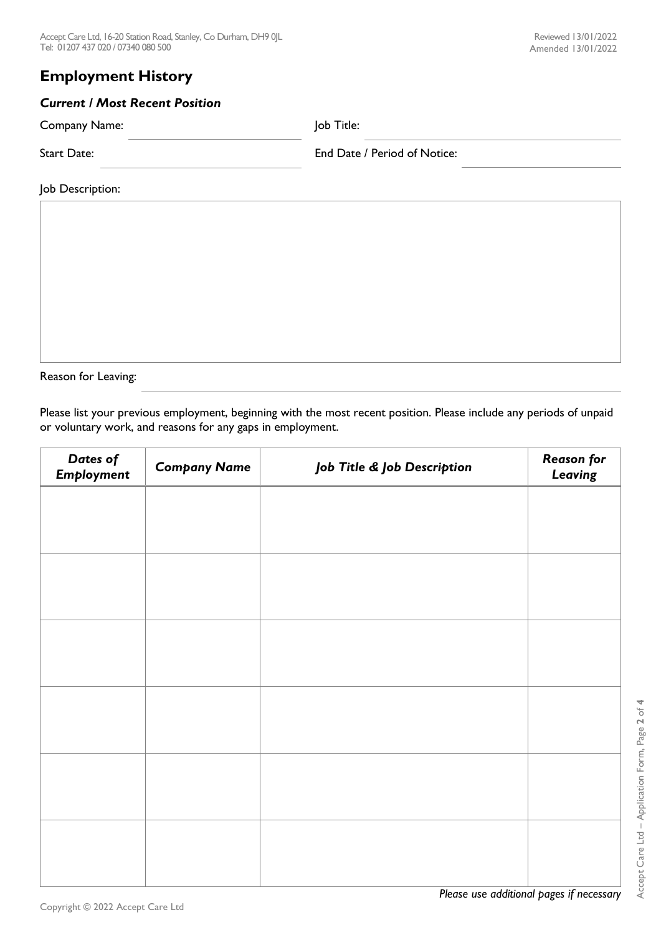# *Current / Most Recent Position*

Company Name: Job Title:

Start Date: End Date / Period of Notice:

Job Description:

Reason for Leaving:

Please list your previous employment, beginning with the most recent position. Please include any periods of unpaid or voluntary work, and reasons for any gaps in employment.

| Dates of<br>Employment | <b>Company Name</b> | Job Title & Job Description | <b>Reason for</b><br>Leaving |
|------------------------|---------------------|-----------------------------|------------------------------|
|                        |                     |                             |                              |
|                        |                     |                             |                              |
|                        |                     |                             |                              |
|                        |                     |                             |                              |
|                        |                     |                             |                              |
|                        |                     |                             |                              |
|                        |                     |                             |                              |
|                        |                     |                             |                              |
|                        |                     |                             |                              |
|                        |                     |                             |                              |
|                        |                     |                             |                              |
|                        |                     |                             |                              |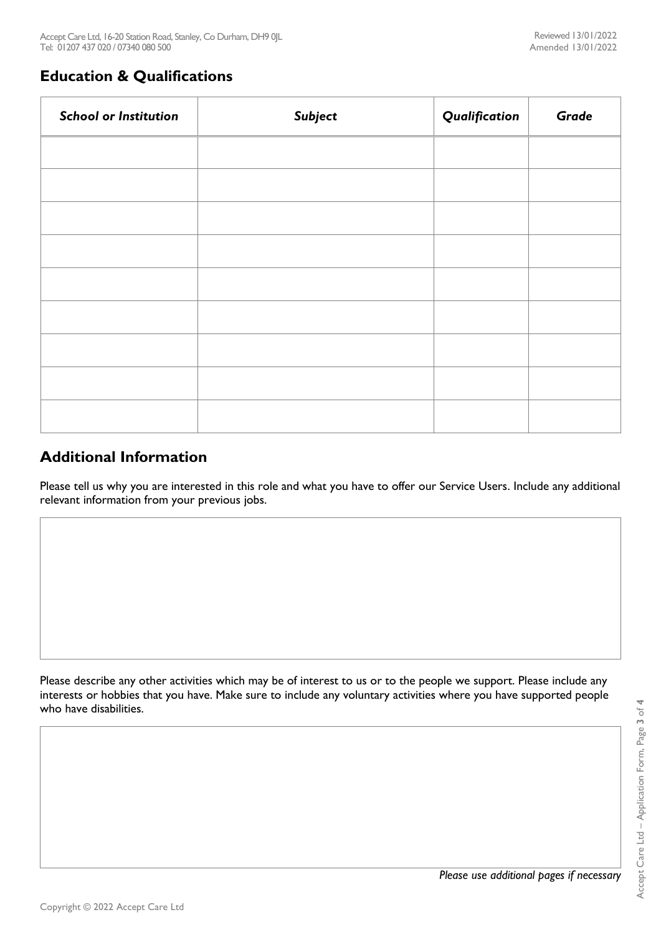## **Education & Qualifications**

| <b>School or Institution</b> | Subject | Qualification | Grade |
|------------------------------|---------|---------------|-------|
|                              |         |               |       |
|                              |         |               |       |
|                              |         |               |       |
|                              |         |               |       |
|                              |         |               |       |
|                              |         |               |       |
|                              |         |               |       |
|                              |         |               |       |
|                              |         |               |       |

## **Additional Information**

Please tell us why you are interested in this role and what you have to offer our Service Users. Include any additional relevant information from your previous jobs.

Please describe any other activities which may be of interest to us or to the people we support. Please include any interests or hobbies that you have. Make sure to include any voluntary activities where you have supported people who have disabilities.